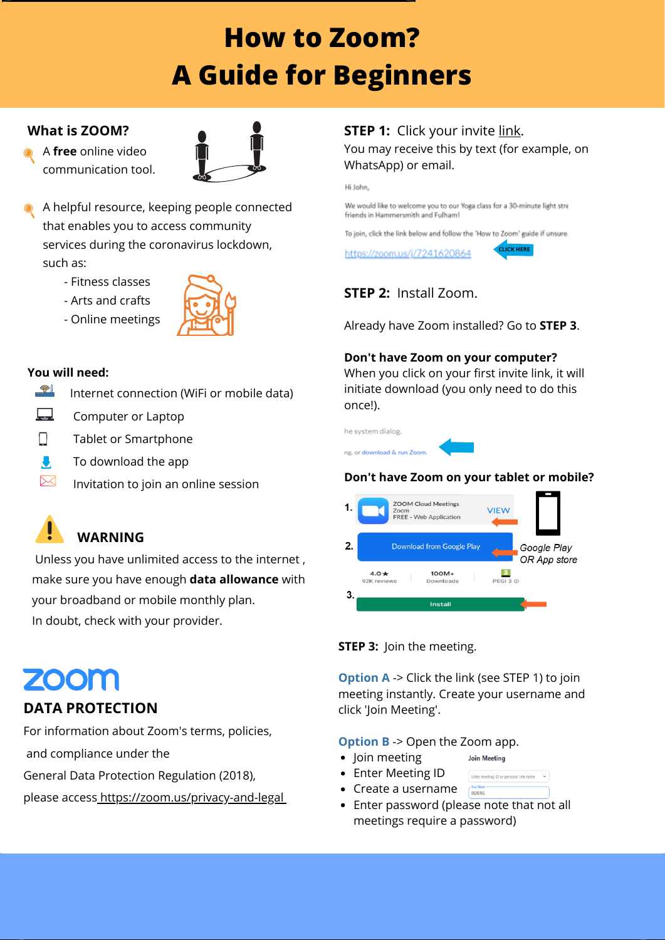

### **STEP 1:** Click your invite link. You may receive this by text (for example, on WhatsApp) or email.

Hi John,

We would like to welcome you to our Yoga class for a 30-minute light stre friends in Hammersmith and Fulham!

To join, click the link below and follow the 'How to Zoom' guide if unsure.

https://zoom.us/j/7241620864

**STEP 2:** Install Zoom.

Already have Zoom installed? Go to **STEP 3**.

#### **Don't have Zoom on your computer?**

- Enter Meeting ID
- Create a username
- Enter password (please note that not all meetings require a password)

When you click on your first invite link, it will initiate download (you only need to do this once!).

he system dialog.

ng, or download & run Zoom



#### **STEP 3:** Join the meeting.

**Option A** -> Click the link (see STEP 1) to join meeting instantly. Create your username and click 'Join Meeting'.

#### **Option B** -> Open the Zoom app.

- Join meeting
- **Join Meeting**

**BORRIS** 

Enter meeting ID or personal link name

## **What is ZOOM?**

A **free** online video communication tool.

- A helpful resource, keeping people connected that enables you to access community services during the coronavirus lockdown, such as:
	- Fitness classes
	- Arts and crafts
	- Online meetings



## **DATA PROTECTION**

For information about Zoom's terms, policies,

and compliance under the

General Data Protection Regulation (2018),

please access <https://zoom.us/privacy-and-legal>

#### **You will need:**



Internet connection (WiFi or mobile data)



 $\triangleright\!\!\!\prec$ 

- Computer or Laptop
- Tablet or Smartphone  $\sqcup$ 
	- To download the app
		- Invitation to join an online session

# **How to Zoom? A Guide for Beginners**

#### **Don't have Zoom on your tablet or mobile?**







Unless you have unlimited access to the internet , make sure you have enough **data allowance** with your broadband or mobile monthly plan. In doubt, check with your provider.

## ZOOM